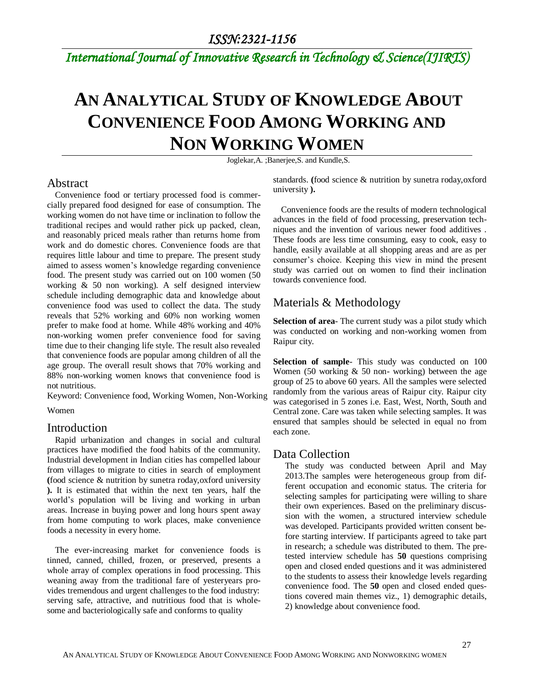# *International Journal of Innovative Research in Technology & Science(IJIRTS)*

# **AN ANALYTICAL STUDY OF KNOWLEDGE ABOUT CONVENIENCE FOOD AMONG WORKING AND NON WORKING WOMEN**

Joglekar,A. ;Banerjee,S. and Kundle,S.

### Abstract

Convenience food or tertiary processed food is commercially prepared food designed for ease of consumption. The working women do not have time or inclination to follow the traditional recipes and would rather pick up packed, clean, and reasonably priced meals rather than returns home from work and do domestic chores. Convenience foods are that requires little labour and time to prepare. The present study aimed to assess women's knowledge regarding convenience food. The present study was carried out on 100 women (50 working & 50 non working). A self designed interview schedule including demographic data and knowledge about convenience food was used to collect the data. The study reveals that 52% working and 60% non working women prefer to make food at home. While 48% working and 40% non-working women prefer convenience food for saving time due to their changing life style. The result also revealed that convenience foods are popular among children of all the age group. The overall result shows that 70% working and 88% non-working women knows that convenience food is not nutritious.

Keyword: Convenience food, Working Women, Non-Working

#### Women

#### Introduction

Rapid urbanization and changes in social and cultural practices have modified the food habits of the community. Industrial development in Indian cities has compelled labour from villages to migrate to cities in search of employment **(**food science & nutrition by sunetra roday,oxford university **).** It is estimated that within the next ten years, half the world's population will be living and working in urban areas. Increase in buying power and long hours spent away from home computing to work places, make convenience foods a necessity in every home.

The ever-increasing market for convenience foods is tinned, canned, chilled, frozen, or preserved, presents a whole array of complex operations in food processing. This weaning away from the traditional fare of yesteryears provides tremendous and urgent challenges to the food industry: serving safe, attractive, and nutritious food that is wholesome and bacteriologically safe and conforms to quality

standards. **(**food science & nutrition by sunetra roday,oxford university **).**

Convenience foods are the results of modern technological advances in the field of food processing, preservation techniques and the invention of various newer food additives . These foods are less time consuming, easy to cook, easy to handle, easily available at all shopping areas and are as per consumer's choice. Keeping this view in mind the present study was carried out on women to find their inclination towards convenience food.

### Materials & Methodology

**Selection of area**- The current study was a pilot study which was conducted on working and non-working women from Raipur city.

**Selection of sample**- This study was conducted on 100 Women (50 working  $& 50$  non- working) between the age group of 25 to above 60 years. All the samples were selected randomly from the various areas of Raipur city. Raipur city was categorised in 5 zones i.e. East, West, North, South and Central zone. Care was taken while selecting samples. It was ensured that samples should be selected in equal no from each zone.

### Data Collection

The study was conducted between April and May 2013.The samples were heterogeneous group from different occupation and economic status. The criteria for selecting samples for participating were willing to share their own experiences. Based on the preliminary discussion with the women, a structured interview schedule was developed. Participants provided written consent before starting interview. If participants agreed to take part in research; a schedule was distributed to them. The pretested interview schedule has **50** questions comprising open and closed ended questions and it was administered to the students to assess their knowledge levels regarding convenience food. The **50** open and closed ended questions covered main themes viz., 1) demographic details, 2) knowledge about convenience food.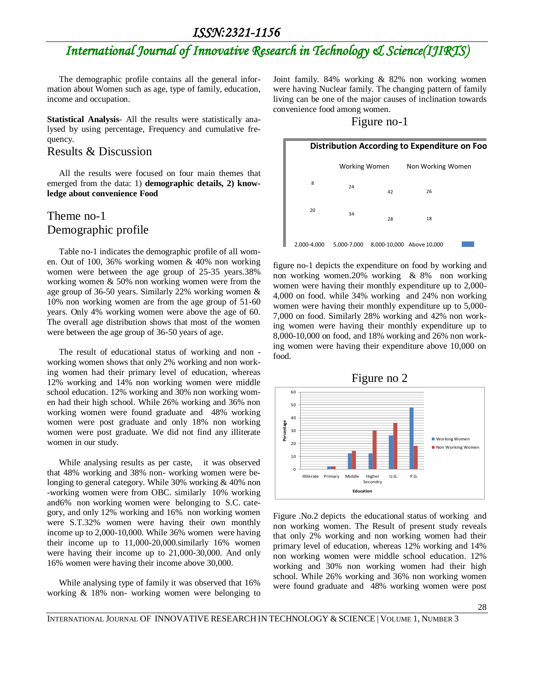# *International Journal of Innovative Research in Technology & Science(IJIRTS)*

The demographic profile contains all the general information about Women such as age, type of family, education, income and occupation.

**Statistical Analysis**- All the results were statistically analysed by using percentage, Frequency and cumulative frequency.

### Results & Discussion

All the results were focused on four main themes that emerged from the data: 1) **demographic details, 2) knowledge about convenience Food**

### Theme no-1 Demographic profile

Table no-1 indicates the demographic profile of all women. Out of 100, 36% working women & 40% non working women were between the age group of 25-35 years.38% working women & 50% non working women were from the age group of 36-50 years. Similarly 22% working women & 10% non working women are from the age group of 51-60 years. Only 4% working women were above the age of 60. The overall age distribution shows that most of the women were between the age group of 36-50 years of age.

The result of educational status of working and non working women shows that only 2% working and non working women had their primary level of education, whereas 12% working and 14% non working women were middle school education. 12% working and 30% non working women had their high school. While 26% working and 36% non working women were found graduate and 48% working women were post graduate and only 18% non working women were post graduate. We did not find any illiterate women in our study.

While analysing results as per caste, it was observed that 48% working and 38% non- working women were belonging to general category. While 30% working & 40% non -working women were from OBC. similarly 10% working and6% non working women were belonging to S.C. category, and only 12% working and 16% non working women were S.T.32% women were having their own monthly income up to 2,000-10,000. While 36% women were having their income up to 11,000-20,000.similarly 16% women were having their income up to 21,000-30,000. And only 16% women were having their income above 30,000.

While analysing type of family it was observed that 16% working & 18% non- working women were belonging to Joint family. 84% working & 82% non working women were having Nuclear family. The changing pattern of family living can be one of the major causes of inclination towards convenience food among women.

#### Figure no-1



figure no-1 depicts the expenditure on food by working and non working women.20% working & 8% non working women were having their monthly expenditure up to 2,000- 4,000 on food. while 34% working and 24% non working women were having their monthly expenditure up to 5,000- 7,000 on food. Similarly 28% working and 42% non working women were having their monthly expenditure up to 8,000-10,000 on food, and 18% working and 26% non working women were having their expenditure above 10,000 on food.





Figure .No.2 depicts the educational status of working and non working women. The Result of present study reveals that only 2% working and non working women had their primary level of education, whereas 12% working and 14% non working women were middle school education. 12% working and 30% non working women had their high school. While 26% working and 36% non working women were found graduate and 48% working women were post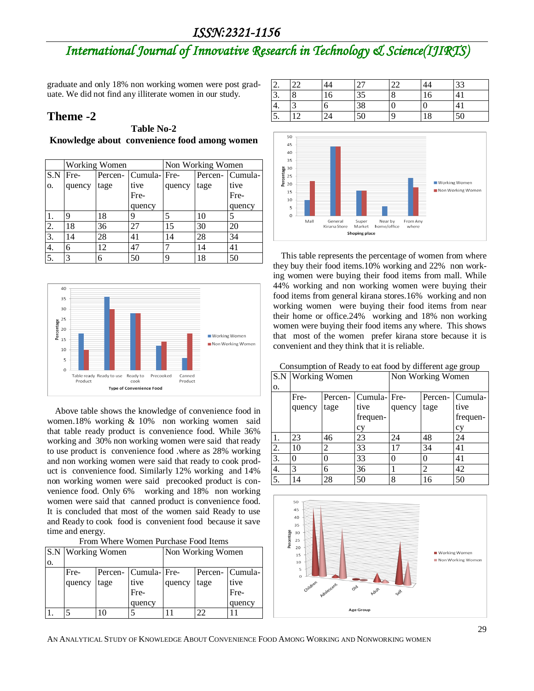# *International Journal of Innovative Research in Technology & Science(IJIRTS)*

graduate and only 18% non working women were post graduate. We did not find any illiterate women in our study.

### **Theme -2**

| Table No-2                                   |
|----------------------------------------------|
| Knowledge about convenience food among women |

|                  | Working Women |      |                    | Non Working Women |      |                 |
|------------------|---------------|------|--------------------|-------------------|------|-----------------|
| S.N              | Fre-          |      | Percen-Cumula-Fre- |                   |      | Percen- Cumula- |
| 0.               | quency        | tage | tive               | quency            | tage | tive            |
|                  |               |      | Fre-               |                   |      | Fre-            |
|                  |               |      | quency             |                   |      | quency          |
| 1.               | Q             | 18   | q                  | 5                 | 10   | 5               |
| 2.               | 18            | 36   | 27                 | 15                | 30   | 20              |
| $\overline{3}$ . | 14            | 28   | 41                 | 14                | 28   | 34              |
| 4.               | 6             | 12   | 47                 |                   | 14   | 41              |
| 5.               | 3             | 6    | 50                 | 9                 | 18   | 50              |



Above table shows the knowledge of convenience food in women.18% working & 10% non working women said that table ready product is convenience food. While 36% working and 30% non working women were said that ready to use product is convenience food .where as 28% working and non working women were said that ready to cook product is convenience food. Similarly 12% working and 14% non working women were said precooked product is convenience food. Only 6% working and 18% non working women were said that canned product is convenience food. It is concluded that most of the women said Ready to use and Ready to cook food is convenient food because it save time and energy.

|    | <b>S.N</b> Working Women |      |                     | Non Working Women |          |                   |
|----|--------------------------|------|---------------------|-------------------|----------|-------------------|
| О. |                          |      |                     |                   |          |                   |
|    | Fre-                     |      | Percen- Cumula-Fre- |                   |          | Percen-   Cumula- |
|    | quency                   | tage | tive                | quency            | tage     | tive              |
|    |                          |      | Fre-                |                   |          | Fre-              |
|    |                          |      | quency              |                   |          | quency            |
|    |                          | 10   |                     |                   | $\gamma$ |                   |

| 2. | $\bigcap$<br>-- |     |             |    | 33          |
|----|-----------------|-----|-------------|----|-------------|
| 3. |                 | I O | 25<br>ر د ا |    | $4^{\circ}$ |
| 4. |                 |     | 38          |    |             |
| 5. | $\sim$          |     | 50          | Ιŏ | 50          |



This table represents the percentage of women from where they buy their food items.10% working and 22% non working women were buying their food items from mall. While 44% working and non working women were buying their food items from general kirana stores.16% working and non working women were buying their food items from near their home or office.24% working and 18% non working women were buying their food items any where. This shows that most of the women prefer kirana store because it is convenient and they think that it is reliable.

|  | Consumption of Ready to eat food by different age group |
|--|---------------------------------------------------------|
|  |                                                         |

| S.N | <b>Working Women</b> |         |              | Non Working Women |         |          |
|-----|----------------------|---------|--------------|-------------------|---------|----------|
| О.  |                      |         |              |                   |         |          |
|     | Fre-                 | Percen- | Cumula- Fre- |                   | Percen- | Cumula-  |
|     | quency               | tage    | tive         | quency            | tage    | tive     |
|     |                      |         | frequen-     |                   |         | frequen- |
|     |                      |         | cy           |                   |         | cy       |
| 1.  | 23                   | 46      | 23           | 24                | 48      | 24       |
| 2.  | 10                   | 2       | 33           | 17                | 34      | 41       |
| 3.  | 0                    | 0       | 33           | 0                 |         | 41       |
| 4.  | 3                    | 6       | 36           |                   | 2       | 42       |
| 5.  | 14                   | 28      | 50           | 8                 | 16      | 50       |

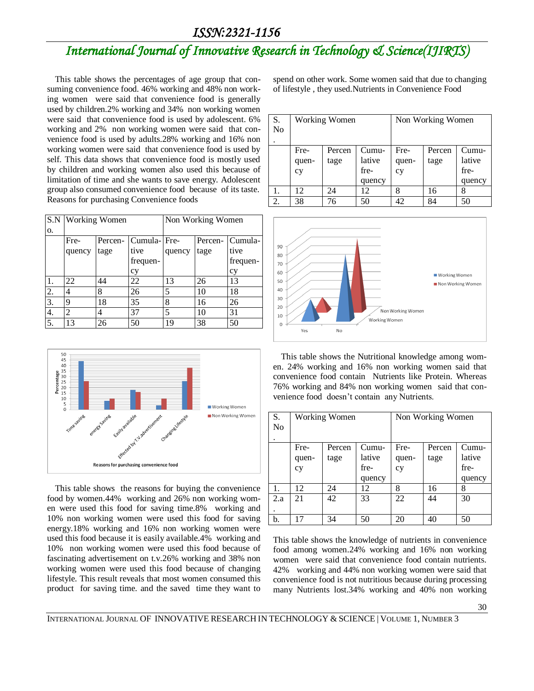# *International Journal of Innovative Research in Technology & Science(IJIRTS)*

This table shows the percentages of age group that consuming convenience food. 46% working and 48% non working women were said that convenience food is generally used by children.2% working and 34% non working women were said that convenience food is used by adolescent. 6% working and 2% non working women were said that convenience food is used by adults.28% working and 16% non working women were said that convenience food is used by self. This data shows that convenience food is mostly used by children and working women also used this because of limitation of time and she wants to save energy. Adolescent group also consumed convenience food because of its taste. Reasons for purchasing Convenience foods

|                          | S.N Working Women |      |                     | Non Working Women |      |                 |
|--------------------------|-------------------|------|---------------------|-------------------|------|-----------------|
| 0.                       |                   |      |                     |                   |      |                 |
|                          | Fre-              |      | Percen- Cumula-Fre- |                   |      | Percen- Cumula- |
|                          | quency            | tage | tive                | quency            | tage | tive            |
|                          |                   |      | frequen-            |                   |      | frequen-        |
|                          |                   |      | cy                  |                   |      | cy              |
| $\overline{1}$ .         | 22                | 44   | 22                  | 13                | 26   | 13              |
| $\overline{2}$ .         | 4                 | 8    | 26                  | 5                 | 10   | 18              |
| $\overline{\mathcal{E}}$ | 9                 | 18   | 35                  | 8                 | 16   | 26              |
| 4.                       | 2                 | 4    | 37                  | 5                 | 10   | 31              |
| $\overline{5}$ .         | 13                | 26   | 50                  | 19                | 38   | 50              |



This table shows the reasons for buying the convenience food by women.44% working and 26% non working women were used this food for saving time.8% working and 10% non working women were used this food for saving energy.18% working and 16% non working women were used this food because it is easily available.4% working and 10% non working women were used this food because of fascinating advertisement on t.v.26% working and 38% non working women were used this food because of changing lifestyle. This result reveals that most women consumed this product for saving time. and the saved time they want to

spend on other work. Some women said that due to changing of lifestyle , they used.Nutrients in Convenience Food

| S.<br>N <sub>o</sub> | Working Women       |                |                                  | Non Working Women   |                |                                     |
|----------------------|---------------------|----------------|----------------------------------|---------------------|----------------|-------------------------------------|
|                      | Fre-<br>quen-<br>cy | Percen<br>tage | Cumu<br>lative<br>fre-<br>quency | Fre-<br>quen-<br>cy | Percen<br>tage | $Cumu-$<br>lative<br>fre-<br>quency |
|                      | 12                  | 24             | 12                               | 8                   | 16             |                                     |
| 2.                   | 38                  | 76             | 50                               | 42                  | 84             | 50                                  |



This table shows the Nutritional knowledge among women. 24% working and 16% non working women said that convenience food contain Nutrients like Protein. Whereas 76% working and 84% non working women said that convenience food doesn't contain any Nutrients.

| S.<br>No | Working Women       |                |                                   | Non Working Women   |                |                                   |
|----------|---------------------|----------------|-----------------------------------|---------------------|----------------|-----------------------------------|
|          | Fre-<br>quen-<br>cy | Percen<br>tage | Cumu-<br>lative<br>fre-<br>quency | Fre-<br>quen-<br>cy | Percen<br>tage | Cumu-<br>lative<br>fre-<br>quency |
| 1.       | 12                  | 24             | 12                                | 8                   | 16             | 8                                 |
| 2.a      | 21                  | 42             | 33                                | 22                  | 44             | 30                                |
| b.       | 17                  | 34             | 50                                | 20                  | 40             | 50                                |

This table shows the knowledge of nutrients in convenience food among women.24% working and 16% non working women were said that convenience food contain nutrients. 42% working and 44% non working women were said that convenience food is not nutritious because during processing many Nutrients lost.34% working and 40% non working

INTERNATIONAL JOURNAL OF INNOVATIVE RESEARCH IN TECHNOLOGY & SCIENCE | VOLUME 1, NUMBER 3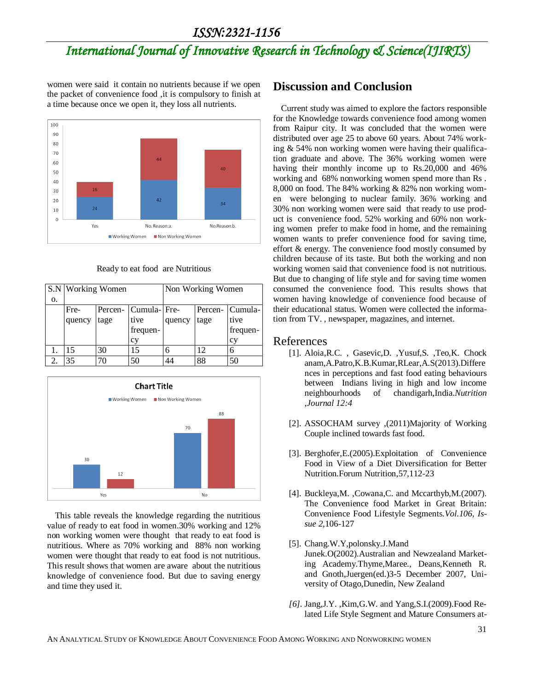## *International Journal of Innovative Research in Technology & Science(IJIRTS)*

women were said it contain no nutrients because if we open the packet of convenience food ,it is compulsory to finish at a time because once we open it, they loss all nutrients.



Ready to eat food are Nutritious

|    | <b>S.N</b> Working Women |      |                     | Non Working Women |      |                 |
|----|--------------------------|------|---------------------|-------------------|------|-----------------|
| 0. |                          |      |                     |                   |      |                 |
|    | Fre-                     |      | Percen- Cumula-Fre- |                   |      | Percen- Cumula- |
|    | quency                   | tage | tive                | quency            | tage | tive            |
|    |                          |      | frequen-            |                   |      | frequen-        |
|    |                          |      | cy                  |                   |      | cy              |
|    | 15                       | 30   | 15                  |                   |      |                 |
|    | 35                       | 70   | 50                  | 44                | 88   | 50              |



This table reveals the knowledge regarding the nutritious value of ready to eat food in women.30% working and 12% non working women were thought that ready to eat food is nutritious. Where as 70% working and 88% non working women were thought that ready to eat food is not nutritious. This result shows that women are aware about the nutritious knowledge of convenience food. But due to saving energy and time they used it.

### **Discussion and Conclusion**

Current study was aimed to explore the factors responsible for the Knowledge towards convenience food among women from Raipur city. It was concluded that the women were distributed over age 25 to above 60 years. About 74% working & 54% non working women were having their qualification graduate and above. The 36% working women were having their monthly income up to Rs.20,000 and 46% working and 68% nonworking women spend more than Rs . 8,000 on food. The 84% working & 82% non working women were belonging to nuclear family. 36% working and 30% non working women were said that ready to use product is convenience food. 52% working and 60% non working women prefer to make food in home, and the remaining women wants to prefer convenience food for saving time, effort & energy. The convenience food mostly consumed by children because of its taste. But both the working and non working women said that convenience food is not nutritious. But due to changing of life style and for saving time women consumed the convenience food. This results shows that women having knowledge of convenience food because of their educational status. Women were collected the information from TV. , newspaper, magazines, and internet.

#### References

- [1]. Aloia,R.C. , Gasevic,D. ,Yusuf,S. ,Teo,K. Chock anam,A.Patro,K.B.Kumar,RLear,A.S(2013).Differe nces in perceptions and fast food eating behaviours between Indians living in high and low income neighbourhoods of chandigarh,India.*Nutrition ,Journal 12:4*
- [2]. ASSOCHAM survey ,(2011)Majority of Working Couple inclined towards fast food.
- [3]. Berghofer,E.(2005).Exploitation of Convenience Food in View of a Diet Diversification for Better Nutrition.Forum Nutrition,57,112-23
- [4]. Buckleya,M. ,Cowana,C. and Mccarthyb,M.(2007). The Convenience food Market in Great Britain: Convenience Food Lifestyle Segments.*Vol.106, Issue 2*,106-127
- [5]. Chang.W.Y,polonsky.J.Mand Junek.O(2002).Australian and Newzealand Marketing Academy.Thyme,Maree., Deans,Kenneth R. and Gnoth,Juergen(ed.)3-5 December 2007, University of Otago,Dunedin, New Zealand
- *[6].* Jang,J.Y. ,Kim,G.W. and Yang,S.I.(2009).Food Related Life Style Segment and Mature Consumers at-